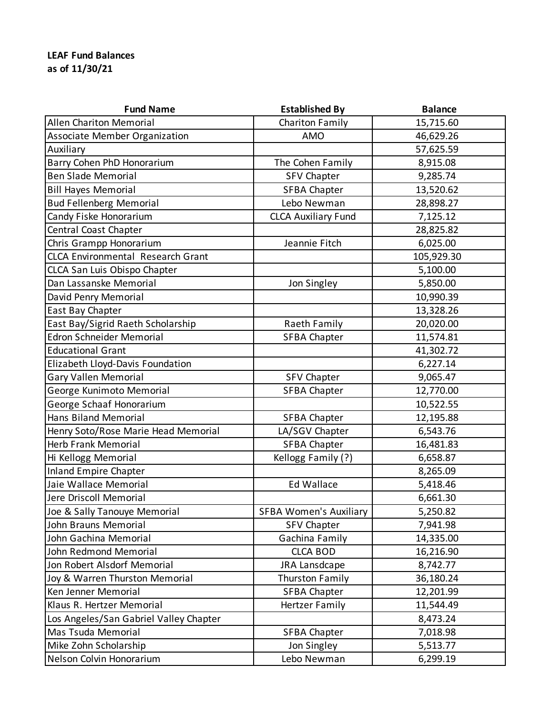## **LEAF Fund Balances as of 11/30/21**

| <b>Fund Name</b>                         | <b>Established By</b>         | <b>Balance</b> |
|------------------------------------------|-------------------------------|----------------|
| <b>Allen Chariton Memorial</b>           | Chariton Family               | 15,715.60      |
| <b>Associate Member Organization</b>     | AMO                           | 46,629.26      |
| Auxiliary                                |                               | 57,625.59      |
| Barry Cohen PhD Honorarium               | The Cohen Family              | 8,915.08       |
| <b>Ben Slade Memorial</b>                | <b>SFV Chapter</b>            | 9,285.74       |
| <b>Bill Hayes Memorial</b>               | <b>SFBA Chapter</b>           | 13,520.62      |
| <b>Bud Fellenberg Memorial</b>           | Lebo Newman                   | 28,898.27      |
| Candy Fiske Honorarium                   | <b>CLCA Auxiliary Fund</b>    | 7,125.12       |
| Central Coast Chapter                    |                               | 28,825.82      |
| Chris Grampp Honorarium                  | Jeannie Fitch                 | 6,025.00       |
| <b>CLCA Environmental Research Grant</b> |                               | 105,929.30     |
| CLCA San Luis Obispo Chapter             |                               | 5,100.00       |
| Dan Lassanske Memorial                   | Jon Singley                   | 5,850.00       |
| David Penry Memorial                     |                               | 10,990.39      |
| East Bay Chapter                         |                               | 13,328.26      |
| East Bay/Sigrid Raeth Scholarship        | Raeth Family                  | 20,020.00      |
| <b>Edron Schneider Memorial</b>          | <b>SFBA Chapter</b>           | 11,574.81      |
| <b>Educational Grant</b>                 |                               | 41,302.72      |
| Elizabeth Lloyd-Davis Foundation         |                               | 6,227.14       |
| <b>Gary Vallen Memorial</b>              | <b>SFV Chapter</b>            | 9,065.47       |
| George Kunimoto Memorial                 | <b>SFBA Chapter</b>           | 12,770.00      |
| George Schaaf Honorarium                 |                               | 10,522.55      |
| <b>Hans Biland Memorial</b>              | <b>SFBA Chapter</b>           | 12,195.88      |
| Henry Soto/Rose Marie Head Memorial      | LA/SGV Chapter                | 6,543.76       |
| <b>Herb Frank Memorial</b>               | <b>SFBA Chapter</b>           | 16,481.83      |
| Hi Kellogg Memorial                      | Kellogg Family (?)            | 6,658.87       |
| <b>Inland Empire Chapter</b>             |                               | 8,265.09       |
| Jaie Wallace Memorial                    | <b>Ed Wallace</b>             | 5,418.46       |
| Jere Driscoll Memorial                   |                               | 6,661.30       |
| Joe & Sally Tanouye Memorial             | <b>SFBA Women's Auxiliary</b> | 5,250.82       |
| John Brauns Memorial                     | <b>SFV Chapter</b>            | 7,941.98       |
| John Gachina Memorial                    | Gachina Family                | 14,335.00      |
| John Redmond Memorial                    | <b>CLCA BOD</b>               | 16,216.90      |
| Jon Robert Alsdorf Memorial              | JRA Lansdcape                 | 8,742.77       |
| Joy & Warren Thurston Memorial           | Thurston Family               | 36,180.24      |
| Ken Jenner Memorial                      | <b>SFBA Chapter</b>           | 12,201.99      |
| Klaus R. Hertzer Memorial                | <b>Hertzer Family</b>         | 11,544.49      |
| Los Angeles/San Gabriel Valley Chapter   |                               | 8,473.24       |
| Mas Tsuda Memorial                       | <b>SFBA Chapter</b>           | 7,018.98       |
| Mike Zohn Scholarship                    | Jon Singley                   | 5,513.77       |
| Nelson Colvin Honorarium                 | Lebo Newman                   | 6,299.19       |